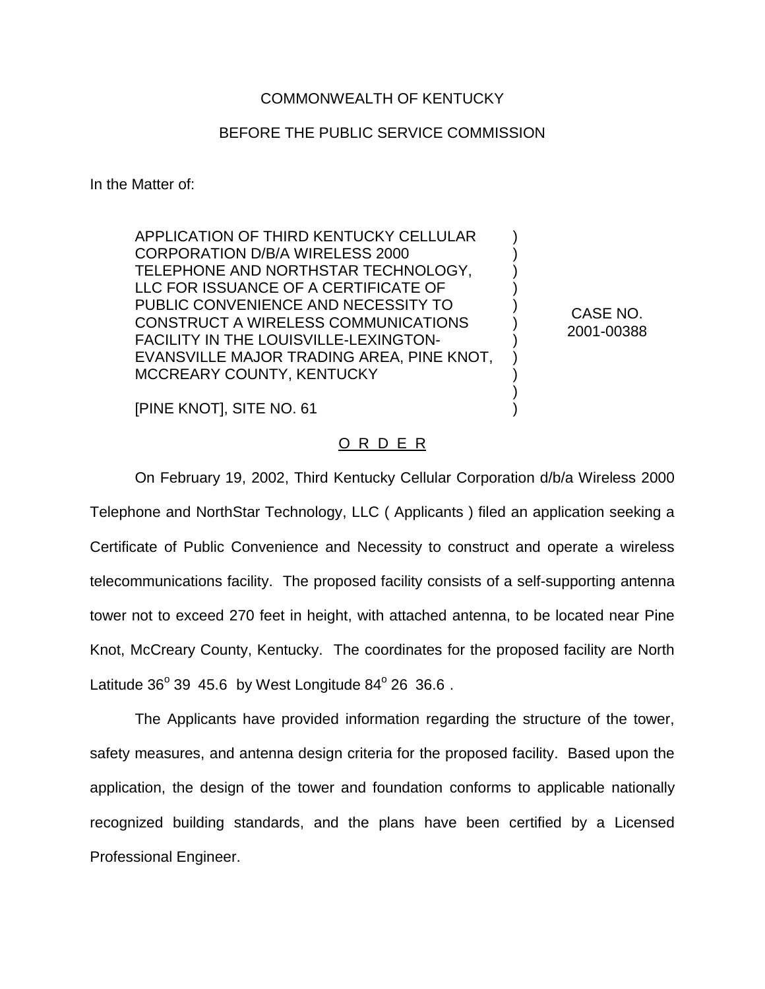## COMMONWEALTH OF KENTUCKY

## BEFORE THE PUBLIC SERVICE COMMISSION

In the Matter of:

APPLICATION OF THIRD KENTUCKY CELLULAR CORPORATION D/B/A WIRELESS 2000 TELEPHONE AND NORTHSTAR TECHNOLOGY, LLC FOR ISSUANCE OF A CERTIFICATE OF PUBLIC CONVENIENCE AND NECESSITY TO CONSTRUCT A WIRELESS COMMUNICATIONS FACILITY IN THE LOUISVILLE-LEXINGTON-EVANSVILLE MAJOR TRADING AREA, PINE KNOT, MCCREARY COUNTY, KENTUCKY

CASE NO. 2001-00388

) ) ) ) ) ) ) ) ) ) )

[PINE KNOT], SITE NO. 61

## O R D E R

On February 19, 2002, Third Kentucky Cellular Corporation d/b/a Wireless 2000 Telephone and NorthStar Technology, LLC ( Applicants ) filed an application seeking a Certificate of Public Convenience and Necessity to construct and operate a wireless telecommunications facility. The proposed facility consists of a self-supporting antenna tower not to exceed 270 feet in height, with attached antenna, to be located near Pine Knot, McCreary County, Kentucky. The coordinates for the proposed facility are North Latitude  $36^{\circ}$  39 45.6 by West Longitude  $84^{\circ}$  26 36.6.

The Applicants have provided information regarding the structure of the tower, safety measures, and antenna design criteria for the proposed facility. Based upon the application, the design of the tower and foundation conforms to applicable nationally recognized building standards, and the plans have been certified by a Licensed Professional Engineer.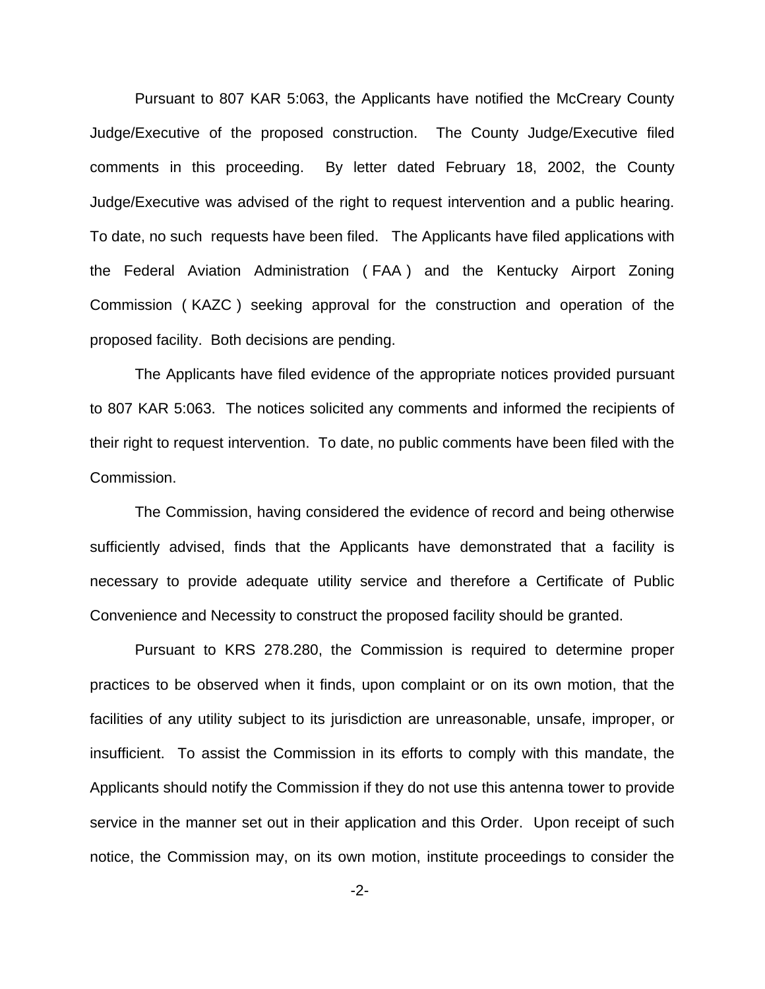Pursuant to 807 KAR 5:063, the Applicants have notified the McCreary County Judge/Executive of the proposed construction. The County Judge/Executive filed comments in this proceeding. By letter dated February 18, 2002, the County Judge/Executive was advised of the right to request intervention and a public hearing. To date, no such requests have been filed. The Applicants have filed applications with the Federal Aviation Administration ( FAA ) and the Kentucky Airport Zoning Commission ( KAZC ) seeking approval for the construction and operation of the proposed facility. Both decisions are pending.

The Applicants have filed evidence of the appropriate notices provided pursuant to 807 KAR 5:063. The notices solicited any comments and informed the recipients of their right to request intervention. To date, no public comments have been filed with the Commission.

The Commission, having considered the evidence of record and being otherwise sufficiently advised, finds that the Applicants have demonstrated that a facility is necessary to provide adequate utility service and therefore a Certificate of Public Convenience and Necessity to construct the proposed facility should be granted.

Pursuant to KRS 278.280, the Commission is required to determine proper practices to be observed when it finds, upon complaint or on its own motion, that the facilities of any utility subject to its jurisdiction are unreasonable, unsafe, improper, or insufficient. To assist the Commission in its efforts to comply with this mandate, the Applicants should notify the Commission if they do not use this antenna tower to provide service in the manner set out in their application and this Order. Upon receipt of such notice, the Commission may, on its own motion, institute proceedings to consider the

-2-